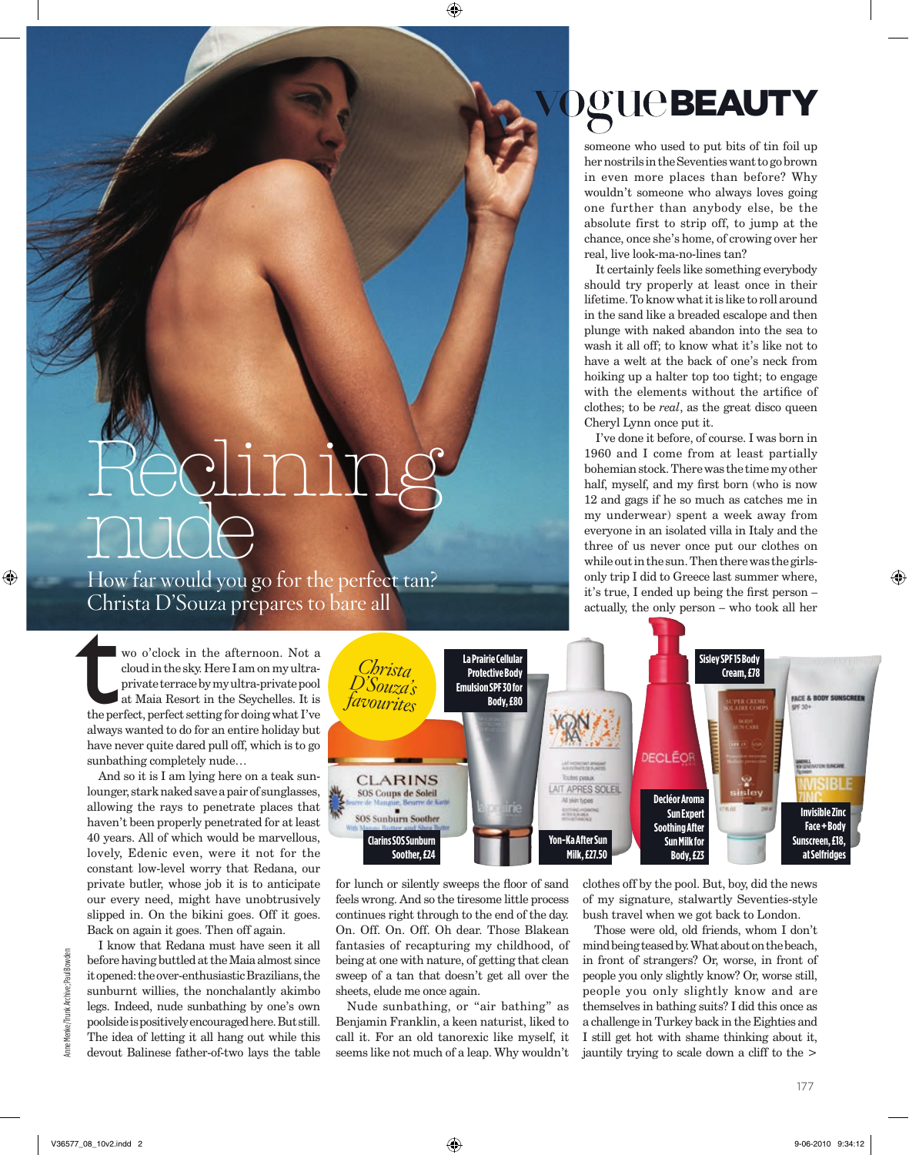## Reclining nude

How far would you go for the perfect tan?

wo o'clock in the afternoon. Not a cloud in the sky. Here I am on my ultraprivate terrace by my ultra-private pool at Maia Resort in the Seychelles. It is the perfect, perfect setting for doing what I've always wanted to do for an entire holiday but have never quite dared pull off, which is to go sunbathing completely nude… Christa D'Souza prepares to bare all<br>
wo o'clock in the afternoon. Not a<br>
cloud in the sky. Here I am on my ultra-<br>
private terrace by my ultra-private pool<br>
at Maia Resort in the Seychelles. It is

And so it is I am lying here on a teak sunlounger, stark naked save a pair of sunglasses, allowing the rays to penetrate places that haven't been properly penetrated for at least 40 years. All of which would be marvellous, lovely, Edenic even, were it not for the constant low-level worry that Redana, our private butler, whose job it is to anticipate our every need, might have unobtrusively slipped in. On the bikini goes. Off it goes. Back on again it goes. Then off again.

I know that Redana must have seen it all before having buttled at the Maia almost since it opened: the over-enthusiastic Brazilians, the sunburnt willies, the nonchalantly akimbo legs. Indeed, nude sunbathing by one's own poolside is positively encouraged here. But still. The idea of letting it all hang out while this devout Balinese father-of-two lays the table



for lunch or silently sweeps the floor of sand feels wrong. And so the tiresome little process continues right through to the end of the day. On. Off. On. Off. Oh dear. Those Blakean fantasies of recapturing my childhood, of being at one with nature, of getting that clean sweep of a tan that doesn't get all over the sheets, elude me once again.

Nude sunbathing, or "air bathing" as Benjamin Franklin, a keen naturist, liked to call it. For an old tanorexic like myself, it seems like not much of a leap. Why wouldn't clothes off by the pool. But, boy, did the news of my signature, stalwartly Seventies-style bush travel when we got back to London.

Those were old, old friends, whom I don't mind being teased by. What about on the beach, in front of strangers? Or, worse, in front of people you only slightly know? Or, worse still, people you only slightly know and are themselves in bathing suits? I did this once as a challenge in Turkey back in the Eighties and I still get hot with shame thinking about it, jauntily trying to scale down a cliff to the >

Anne Menke/Trunk Archive: Paul Bowden

## **DEUCBEAUTY**

someone who used to put bits of tin foil up her nostrils in the Seventies want to go brown in even more places than before? Why wouldn't someone who always loves going one further than anybody else, be the absolute first to strip off, to jump at the chance, once she's home, of crowing over her real, live look-ma-no-lines tan?

It certainly feels like something everybody should try properly at least once in their lifetime. To know what it is like to roll around in the sand like a breaded escalope and then plunge with naked abandon into the sea to wash it all off; to know what it's like not to have a welt at the back of one's neck from hoiking up a halter top too tight; to engage with the elements without the artifice of clothes; to be *real*, as the great disco queen Cheryl Lynn once put it.

I've done it before, of course. I was born in 1960 and I come from at least partially bohemian stock. There was the time my other half, myself, and my first born (who is now 12 and gags if he so much as catches me in my underwear) spent a week away from everyone in an isolated villa in Italy and the three of us never once put our clothes on while out in the sun. Then there was the girlsonly trip I did to Greece last summer where, it's true, I ended up being the first person – actually, the only person – who took all her